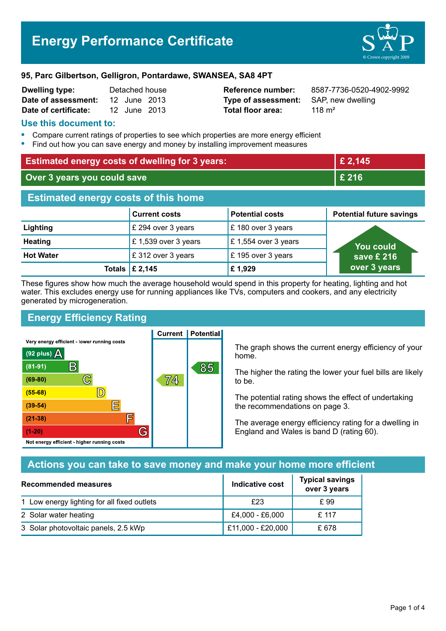#### **95, Parc Gilbertson, Gelligron, Pontardawe, SWANSEA, SA8 4PT**

| <b>Dwelling type:</b> |              | Detached house |
|-----------------------|--------------|----------------|
| Date of assessment:   | 12 June 2013 |                |
| Date of certificate:  | 12 June 2013 |                |

### **Use this document to:**

- **•** Compare current ratings of properties to see which properties are more energy efficient
- **•** Find out how you can save energy and money by installing improvement measures

| <b>Estimated energy costs of dwelling for 3 years:</b> |                      | £ 2,145                |                                 |
|--------------------------------------------------------|----------------------|------------------------|---------------------------------|
| Over 3 years you could save                            |                      |                        | £ 216                           |
| <b>Estimated energy costs of this home</b>             |                      |                        |                                 |
|                                                        | <b>Current costs</b> | <b>Potential costs</b> | <b>Potential future savings</b> |
| Lighting                                               | £ 294 over 3 years   | £180 over 3 years      |                                 |
| <b>Heating</b>                                         | £ 1,539 over 3 years | £ 1,554 over 3 years   | <u>Yo</u> u could               |
| <b>Hot Water</b>                                       | £312 over 3 years    | £195 over 3 years      | save £ 216                      |
| Totals                                                 | £ 2,145              | £1,929                 | over 3 years                    |

These figures show how much the average household would spend in this property for heating, lighting and hot water. This excludes energy use for running appliances like TVs, computers and cookers, and any electricity generated by microgeneration.

**Current | Potential** 

## **Energy Efficiency Rating**

Very energy efficient - lower running costs



The graph shows the current energy efficiency of your home.

The higher the rating the lower your fuel bills are likely to be.

The potential rating shows the effect of undertaking the recommendations on page 3.

The average energy efficiency rating for a dwelling in England and Wales is band D (rating 60).

# **Actions you can take to save money and make your home more efficient**

| <b>Recommended measures</b>                 | Indicative cost   | <b>Typical savings</b><br>over 3 years |
|---------------------------------------------|-------------------|----------------------------------------|
| 1 Low energy lighting for all fixed outlets | £23               | £ 99                                   |
| 2 Solar water heating                       | £4,000 - £6,000   | £ 117                                  |
| 3 Solar photovoltaic panels, 2.5 kWp        | £11,000 - £20,000 | £ 678                                  |

**Reference number:** 8587-7736-0520-4902-9992 **Type of assessment:** SAP, new dwelling **Total floor area:** 118 m<sup>2</sup>

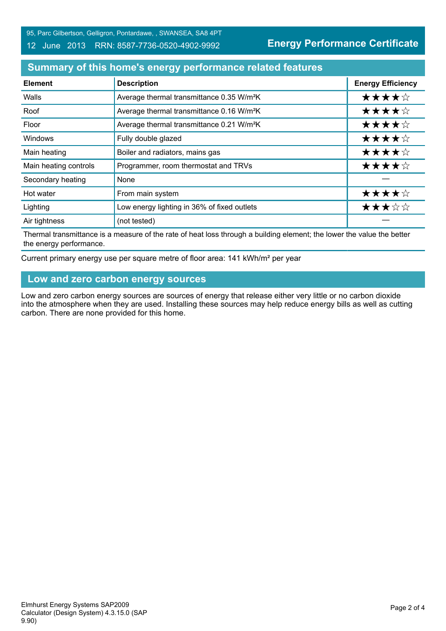95, Parc Gilbertson, Gelligron, Pontardawe, , SWANSEA, SA8 4PT

#### 12 June 2013 RRN: 8587-7736-0520-4902-9992

**Energy Performance Certificate**

# **Summary of this home's energy performance related features**

| <b>Element</b>        | <b>Description</b>                                    | <b>Energy Efficiency</b> |
|-----------------------|-------------------------------------------------------|--------------------------|
| Walls                 | Average thermal transmittance 0.35 W/m <sup>2</sup> K | ★★★★☆                    |
| Roof                  | Average thermal transmittance 0.16 W/m <sup>2</sup> K | ★★★★☆                    |
| Floor                 | Average thermal transmittance 0.21 W/m <sup>2</sup> K | ★★★★☆                    |
| Windows               | Fully double glazed                                   | ★★★★☆                    |
| Main heating          | Boiler and radiators, mains gas                       | ★★★★☆                    |
| Main heating controls | Programmer, room thermostat and TRVs                  | ★★★★☆                    |
| Secondary heating     | None                                                  |                          |
| Hot water             | From main system                                      | ★★★★☆                    |
| Lighting              | Low energy lighting in 36% of fixed outlets           | ★★★☆☆                    |
| Air tightness         | (not tested)                                          |                          |

Thermal transmittance is a measure of the rate of heat loss through a building element; the lower the value the better the energy performance.

Current primary energy use per square metre of floor area: 141 kWh/m² per year

### **Low and zero carbon energy sources**

Low and zero carbon energy sources are sources of energy that release either very little or no carbon dioxide into the atmosphere when they are used. Installing these sources may help reduce energy bills as well as cutting carbon. There are none provided for this home.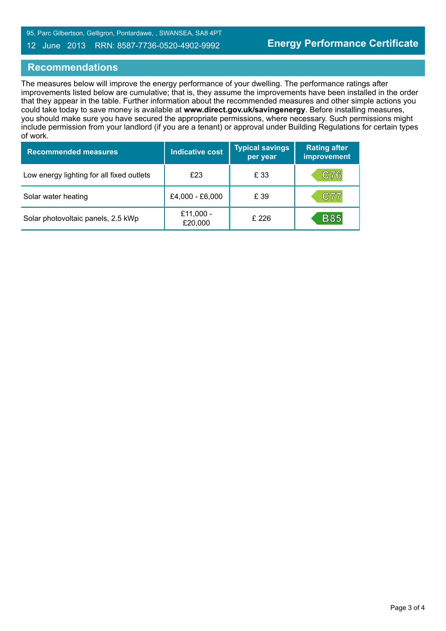95, Parc Gilbertson, Gelligron, Pontardawe, , SWANSEA, SA8 4PT

### 12 June 2013 RRN: 8587-7736-0520-4902-9992

## **Recommendations**

The measures below will improve the energy performance of your dwelling. The performance ratings after improvements listed below are cumulative; that is, they assume the improvements have been installed in the order that they appear in the table. Further information about the recommended measures and other simple actions you could take today to save money is available at **www.direct.gov.uk/savingenergy**. Before installing measures, you should make sure you have secured the appropriate permissions, where necessary. Such permissions might include permission from your landlord (if you are a tenant) or approval under Building Regulations for certain types of work.

| <b>Recommended measures</b>               | Indicative cost      | <b>Typical savings</b><br>per year | <b>Rating after</b><br>improvement |
|-------------------------------------------|----------------------|------------------------------------|------------------------------------|
| Low energy lighting for all fixed outlets | £23                  | £ 33                               | C76                                |
| Solar water heating                       | £4,000 - £6,000      | £ 39                               | C77                                |
| Solar photovoltaic panels, 2.5 kWp        | £11,000 -<br>£20,000 | £226                               | <b>B85</b>                         |